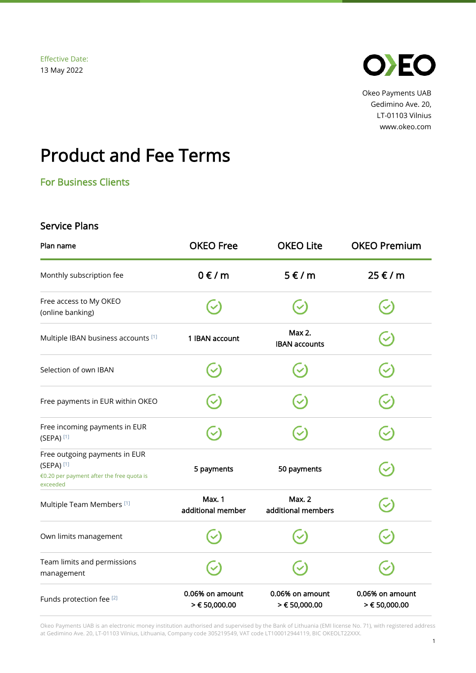

Okeo Payments UAB Gedimino Ave. 20, LT-01103 Vilnius www.okeo.com

## Product and Fee Terms

For Business Clients

## Service Plans

| Plan name                                                                                                         | <b>OKEO Free</b>                   | <b>OKEO Lite</b>                    | <b>OKEO Premium</b>              |
|-------------------------------------------------------------------------------------------------------------------|------------------------------------|-------------------------------------|----------------------------------|
| Monthly subscription fee                                                                                          | $0 \in / m$                        | $5 \in / m$                         | 25 € / m                         |
| Free access to My OKEO<br>(online banking)                                                                        |                                    |                                     |                                  |
| Multiple IBAN business accounts [1]                                                                               | 1 IBAN account                     | Max 2.<br><b>IBAN accounts</b>      |                                  |
| Selection of own IBAN                                                                                             |                                    |                                     |                                  |
| Free payments in EUR within OKEO                                                                                  |                                    |                                     |                                  |
| Free incoming payments in EUR<br>$(SEPA)$ <sup>[1]</sup>                                                          |                                    |                                     |                                  |
| Free outgoing payments in EUR<br>$(SEPA)$ <sup>[1]</sup><br>€0.20 per payment after the free quota is<br>exceeded | 5 payments                         | 50 payments                         |                                  |
| Multiple Team Members <sup>[1]</sup>                                                                              | <b>Max. 1</b><br>additional member | <b>Max. 2</b><br>additional members |                                  |
| Own limits management                                                                                             |                                    |                                     |                                  |
| Team limits and permissions<br>management                                                                         |                                    |                                     |                                  |
| Funds protection fee [2]                                                                                          | 0.06% on amount<br>> € 50,000.00   | 0.06% on amount<br>> € 50,000.00    | 0.06% on amount<br>> € 50,000.00 |

Okeo Payments UAB is an electronic money institution authorised and supervised by the Bank of Lithuania (EMI license No. 71), with registered address at Gedimino Ave. 20, LT-01103 Vilnius, Lithuania, Company code 305219549, VAT code LT100012944119, BIC OKEOLT22XXX.